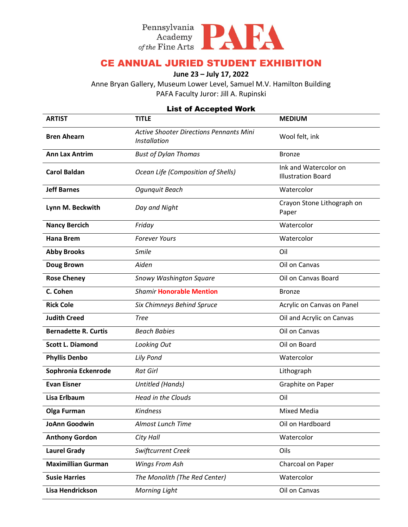

## CE ANNUAL JURIED STUDENT EXHIBITION

### **June 23 – July 17, 2022**

Anne Bryan Gallery, Museum Lower Level, Samuel M.V. Hamilton Building PAFA Faculty Juror: Jill A. Rupinski

### List of Accepted Work

| <b>ARTIST</b>               | <b>TITLE</b>                                                          | <b>MEDIUM</b>                                      |
|-----------------------------|-----------------------------------------------------------------------|----------------------------------------------------|
| <b>Bren Ahearn</b>          | <b>Active Shooter Directions Pennants Mini</b><br><b>Installation</b> | Wool felt, ink                                     |
| <b>Ann Lax Antrim</b>       | <b>Bust of Dylan Thomas</b>                                           | <b>Bronze</b>                                      |
| <b>Carol Baldan</b>         | Ocean Life (Composition of Shells)                                    | Ink and Watercolor on<br><b>Illustration Board</b> |
| <b>Jeff Barnes</b>          | Ogunguit Beach                                                        | Watercolor                                         |
| Lynn M. Beckwith            | Day and Night                                                         | Crayon Stone Lithograph on<br>Paper                |
| <b>Nancy Bercich</b>        | Friday                                                                | Watercolor                                         |
| <b>Hana Brem</b>            | <b>Forever Yours</b>                                                  | Watercolor                                         |
| <b>Abby Brooks</b>          | Smile                                                                 | Oil                                                |
| <b>Doug Brown</b>           | Aiden                                                                 | Oil on Canvas                                      |
| <b>Rose Cheney</b>          | Snowy Washington Square                                               | Oil on Canvas Board                                |
| C. Cohen                    | <b>Shamir Honorable Mention</b>                                       | <b>Bronze</b>                                      |
| <b>Rick Cole</b>            | Six Chimneys Behind Spruce                                            | Acrylic on Canvas on Panel                         |
| <b>Judith Creed</b>         | <b>Tree</b>                                                           | Oil and Acrylic on Canvas                          |
| <b>Bernadette R. Curtis</b> | <b>Beach Babies</b>                                                   | Oil on Canvas                                      |
| <b>Scott L. Diamond</b>     | Looking Out                                                           | Oil on Board                                       |
| <b>Phyllis Denbo</b>        | <b>Lily Pond</b>                                                      | Watercolor                                         |
| Sophronia Eckenrode         | <b>Rat Girl</b>                                                       | Lithograph                                         |
| <b>Evan Eisner</b>          | <b>Untitled (Hands)</b>                                               | Graphite on Paper                                  |
| <b>Lisa Erlbaum</b>         | <b>Head in the Clouds</b>                                             | Oil                                                |
| <b>Olga Furman</b>          | <b>Kindness</b>                                                       | Mixed Media                                        |
| <b>JoAnn Goodwin</b>        | Almost Lunch Time                                                     | Oil on Hardboard                                   |
| <b>Anthony Gordon</b>       | City Hall                                                             | Watercolor                                         |
| <b>Laurel Grady</b>         | Swiftcurrent Creek                                                    | Oils                                               |
| <b>Maximillian Gurman</b>   | Wings From Ash                                                        | Charcoal on Paper                                  |
| <b>Susie Harries</b>        | The Monolith (The Red Center)                                         | Watercolor                                         |
| Lisa Hendrickson            | <b>Morning Light</b>                                                  | Oil on Canvas                                      |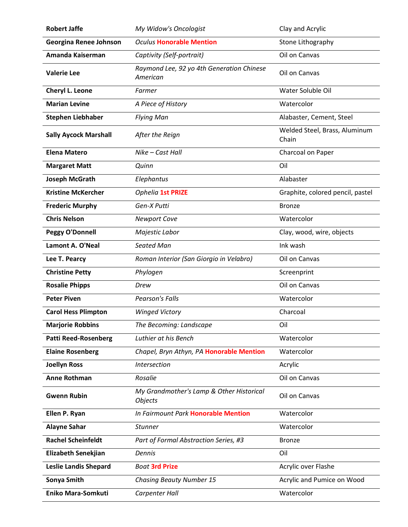| <b>Robert Jaffe</b>          | My Widow's Oncologist                                      | Clay and Acrylic                       |
|------------------------------|------------------------------------------------------------|----------------------------------------|
| Georgina Renee Johnson       | <b>Oculus Honorable Mention</b>                            | Stone Lithography                      |
| Amanda Kaiserman             | Captivity (Self-portrait)                                  | Oil on Canvas                          |
| <b>Valerie Lee</b>           | Raymond Lee, 92 yo 4th Generation Chinese<br>American      | Oil on Canvas                          |
| Cheryl L. Leone              | Farmer                                                     | Water Soluble Oil                      |
| <b>Marian Levine</b>         | A Piece of History                                         | Watercolor                             |
| <b>Stephen Liebhaber</b>     | <b>Flying Man</b>                                          | Alabaster, Cement, Steel               |
| <b>Sally Aycock Marshall</b> | After the Reign                                            | Welded Steel, Brass, Aluminum<br>Chain |
| <b>Elena Matero</b>          | Nike - Cast Hall                                           | Charcoal on Paper                      |
| <b>Margaret Matt</b>         | Quinn                                                      | Oil                                    |
| Joseph McGrath               | Elephantus                                                 | Alabaster                              |
| <b>Kristine McKercher</b>    | Ophelia 1st PRIZE                                          | Graphite, colored pencil, pastel       |
| <b>Frederic Murphy</b>       | Gen-X Putti                                                | <b>Bronze</b>                          |
| <b>Chris Nelson</b>          | <b>Newport Cove</b>                                        | Watercolor                             |
| Peggy O'Donnell              | Majestic Labor                                             | Clay, wood, wire, objects              |
| Lamont A. O'Neal             | Seated Man                                                 | Ink wash                               |
| Lee T. Pearcy                | Roman Interior (San Giorgio in Velabro)                    | Oil on Canvas                          |
| <b>Christine Petty</b>       | Phylogen                                                   | Screenprint                            |
| <b>Rosalie Phipps</b>        | Drew                                                       | Oil on Canvas                          |
| <b>Peter Piven</b>           | <b>Pearson's Falls</b>                                     | Watercolor                             |
| <b>Carol Hess Plimpton</b>   | <b>Winged Victory</b>                                      | Charcoal                               |
| <b>Marjorie Robbins</b>      | The Becoming: Landscape                                    | Oil                                    |
| <b>Patti Reed-Rosenberg</b>  | Luthier at his Bench                                       | Watercolor                             |
| <b>Elaine Rosenberg</b>      | Chapel, Bryn Athyn, PA Honorable Mention                   | Watercolor                             |
| <b>Joellyn Ross</b>          | <b>Intersection</b>                                        | Acrylic                                |
| <b>Anne Rothman</b>          | Rosalie                                                    | Oil on Canvas                          |
| <b>Gwenn Rubin</b>           | My Grandmother's Lamp & Other Historical<br><b>Objects</b> | Oil on Canvas                          |
| Ellen P. Ryan                | In Fairmount Park Honorable Mention                        | Watercolor                             |
| <b>Alayne Sahar</b>          | <b>Stunner</b>                                             | Watercolor                             |
| <b>Rachel Scheinfeldt</b>    | Part of Formal Abstraction Series, #3                      | <b>Bronze</b>                          |
| Elizabeth Senekjian          | Dennis                                                     | Oil                                    |
| <b>Leslie Landis Shepard</b> | <b>Boat 3rd Prize</b>                                      | Acrylic over Flashe                    |
| Sonya Smith                  | <b>Chasing Beauty Number 15</b>                            | Acrylic and Pumice on Wood             |
| <b>Eniko Mara-Somkuti</b>    | Carpenter Hall                                             | Watercolor                             |